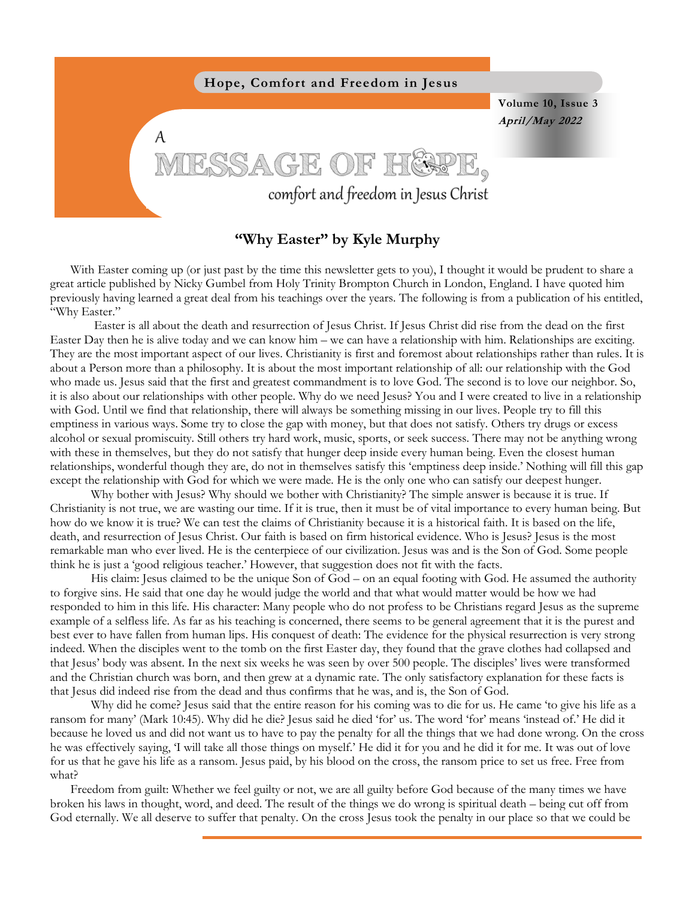

## **"Why Easter" by Kyle Murphy**

With Easter coming up (or just past by the time this newsletter gets to you), I thought it would be prudent to share a great article published by Nicky Gumbel from Holy Trinity Brompton Church in London, England. I have quoted him previously having learned a great deal from his teachings over the years. The following is from a publication of his entitled, "Why Easter."

Easter is all about the death and resurrection of Jesus Christ. If Jesus Christ did rise from the dead on the first Easter Day then he is alive today and we can know him – we can have a relationship with him. Relationships are exciting. They are the most important aspect of our lives. Christianity is first and foremost about relationships rather than rules. It is about a Person more than a philosophy. It is about the most important relationship of all: our relationship with the God who made us. Jesus said that the first and greatest commandment is to love God. The second is to love our neighbor. So, it is also about our relationships with other people. Why do we need Jesus? You and I were created to live in a relationship with God. Until we find that relationship, there will always be something missing in our lives. People try to fill this emptiness in various ways. Some try to close the gap with money, but that does not satisfy. Others try drugs or excess alcohol or sexual promiscuity. Still others try hard work, music, sports, or seek success. There may not be anything wrong with these in themselves, but they do not satisfy that hunger deep inside every human being. Even the closest human relationships, wonderful though they are, do not in themselves satisfy this 'emptiness deep inside.' Nothing will fill this gap except the relationship with God for which we were made. He is the only one who can satisfy our deepest hunger.

Why bother with Jesus? Why should we bother with Christianity? The simple answer is because it is true. If Christianity is not true, we are wasting our time. If it is true, then it must be of vital importance to every human being. But how do we know it is true? We can test the claims of Christianity because it is a historical faith. It is based on the life, death, and resurrection of Jesus Christ. Our faith is based on firm historical evidence. Who is Jesus? Jesus is the most remarkable man who ever lived. He is the centerpiece of our civilization. Jesus was and is the Son of God. Some people think he is just a 'good religious teacher.' However, that suggestion does not fit with the facts.

His claim: Jesus claimed to be the unique Son of God – on an equal footing with God. He assumed the authority to forgive sins. He said that one day he would judge the world and that what would matter would be how we had responded to him in this life. His character: Many people who do not profess to be Christians regard Jesus as the supreme example of a selfless life. As far as his teaching is concerned, there seems to be general agreement that it is the purest and best ever to have fallen from human lips. His conquest of death: The evidence for the physical resurrection is very strong indeed. When the disciples went to the tomb on the first Easter day, they found that the grave clothes had collapsed and that Jesus' body was absent. In the next six weeks he was seen by over 500 people. The disciples' lives were transformed and the Christian church was born, and then grew at a dynamic rate. The only satisfactory explanation for these facts is that Jesus did indeed rise from the dead and thus confirms that he was, and is, the Son of God.

Why did he come? Jesus said that the entire reason for his coming was to die for us. He came 'to give his life as a ransom for many' (Mark 10:45). Why did he die? Jesus said he died 'for' us. The word 'for' means 'instead of.' He did it because he loved us and did not want us to have to pay the penalty for all the things that we had done wrong. On the cross he was effectively saying, 'I will take all those things on myself.' He did it for you and he did it for me. It was out of love for us that he gave his life as a ransom. Jesus paid, by his blood on the cross, the ransom price to set us free. Free from what?

Freedom from guilt: Whether we feel guilty or not, we are all guilty before God because of the many times we have broken his laws in thought, word, and deed. The result of the things we do wrong is spiritual death – being cut off from God eternally. We all deserve to suffer that penalty. On the cross Jesus took the penalty in our place so that we could be